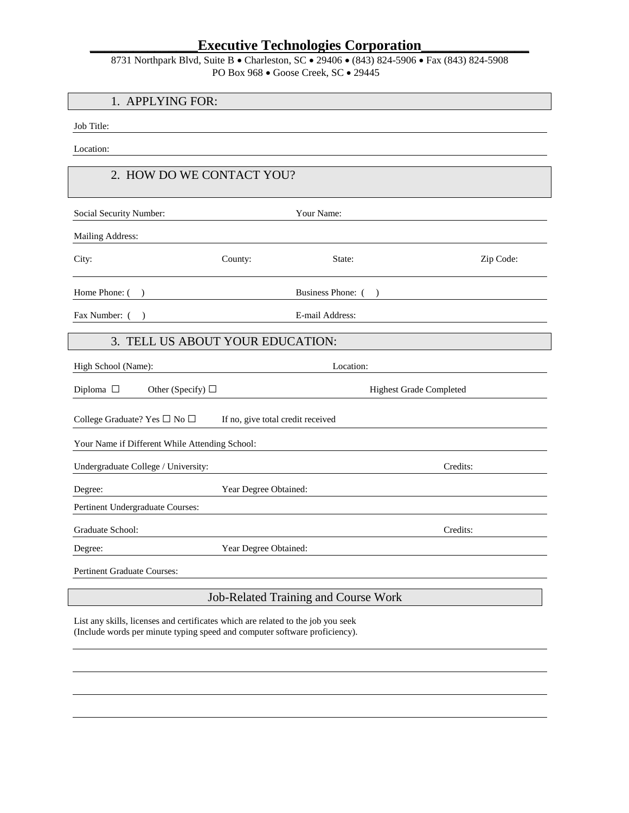| 8731 Northpark Blvd, Suite B • Charleston, SC • 29406 • (843) 824-5906 • Fax (843) 824-5908 |
|---------------------------------------------------------------------------------------------|
| PO Box 968 $\bullet$ Goose Creek, SC $\bullet$ 29445                                        |

#### 1. APPLYING FOR:

Job Title:

Location:

#### 2. HOW DO WE CONTACT YOU?

| Social Security Number:                         |                                   | Your Name:        |                                |           |
|-------------------------------------------------|-----------------------------------|-------------------|--------------------------------|-----------|
| Mailing Address:                                |                                   |                   |                                |           |
| City:                                           | County:                           | State:            |                                | Zip Code: |
| Home Phone: (                                   |                                   | Business Phone: ( |                                |           |
| Fax Number: (                                   |                                   | E-mail Address:   |                                |           |
| TELL US ABOUT YOUR EDUCATION:<br>3.             |                                   |                   |                                |           |
| High School (Name):                             |                                   | Location:         |                                |           |
| Diploma $\square$<br>Other (Specify) $\Box$     |                                   |                   | <b>Highest Grade Completed</b> |           |
| College Graduate? Yes $\square$ No $\square$    | If no, give total credit received |                   |                                |           |
| Your Name if Different While Attending School:  |                                   |                   |                                |           |
| Credits:<br>Undergraduate College / University: |                                   |                   |                                |           |
| Degree:                                         | Year Degree Obtained:             |                   |                                |           |
| Pertinent Undergraduate Courses:                |                                   |                   |                                |           |
| Credits:<br>Graduate School:                    |                                   |                   |                                |           |
| Degree:                                         | Year Degree Obtained:             |                   |                                |           |
| <b>Pertinent Graduate Courses:</b>              |                                   |                   |                                |           |

#### Job-Related Training and Course Work

List any skills, licenses and certificates which are related to the job you seek (Include words per minute typing speed and computer software proficiency).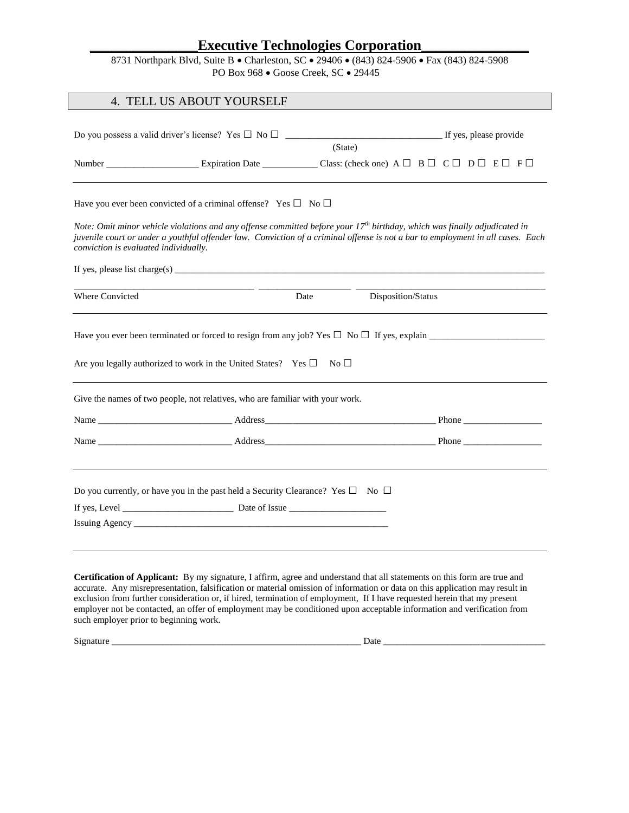| 8731 Northpark Blvd, Suite B • Charleston, SC • 29406 • (843) 824-5906 • Fax (843) 824-5908 |
|---------------------------------------------------------------------------------------------|
| PO Box 968 $\bullet$ Goose Creek, SC $\bullet$ 29445                                        |

|                                       | 4. TELL US ABOUT YOURSELF                                                                                                                                                                                                      |         |                                                                                                                                       |  |  |
|---------------------------------------|--------------------------------------------------------------------------------------------------------------------------------------------------------------------------------------------------------------------------------|---------|---------------------------------------------------------------------------------------------------------------------------------------|--|--|
|                                       |                                                                                                                                                                                                                                | (State) |                                                                                                                                       |  |  |
|                                       |                                                                                                                                                                                                                                |         |                                                                                                                                       |  |  |
|                                       | Have you ever been convicted of a criminal offense? Yes $\square$ No $\square$                                                                                                                                                 |         | Note: Omit minor vehicle violations and any offense committed before your 17 <sup>th</sup> birthday, which was finally adjudicated in |  |  |
| conviction is evaluated individually. |                                                                                                                                                                                                                                |         | juvenile court or under a youthful offender law. Conviction of a criminal offense is not a bar to employment in all cases. Each       |  |  |
|                                       |                                                                                                                                                                                                                                |         |                                                                                                                                       |  |  |
| <b>Where Convicted</b>                |                                                                                                                                                                                                                                | Date    | Disposition/Status                                                                                                                    |  |  |
|                                       |                                                                                                                                                                                                                                |         |                                                                                                                                       |  |  |
|                                       | Are you legally authorized to work in the United States? Yes $\square$ No $\square$                                                                                                                                            |         |                                                                                                                                       |  |  |
|                                       | Give the names of two people, not relatives, who are familiar with your work.                                                                                                                                                  |         |                                                                                                                                       |  |  |
|                                       |                                                                                                                                                                                                                                |         |                                                                                                                                       |  |  |
|                                       |                                                                                                                                                                                                                                |         |                                                                                                                                       |  |  |
|                                       |                                                                                                                                                                                                                                |         |                                                                                                                                       |  |  |
|                                       | Do you currently, or have you in the past held a Security Clearance? Yes $\square$ No $\square$                                                                                                                                |         |                                                                                                                                       |  |  |
|                                       |                                                                                                                                                                                                                                |         |                                                                                                                                       |  |  |
|                                       | Issuing Agency and the contract of the contract of the contract of the contract of the contract of the contract of the contract of the contract of the contract of the contract of the contract of the contract of the contrac |         |                                                                                                                                       |  |  |
|                                       |                                                                                                                                                                                                                                |         |                                                                                                                                       |  |  |

**Certification of Applicant:** By my signature, I affirm, agree and understand that all statements on this form are true and accurate. Any misrepresentation, falsification or material omission of information or data on this application may result in exclusion from further consideration or, if hired, termination of employment, If I have requested herein that my present employer not be contacted, an offer of employment may be conditioned upon acceptable information and verification from such employer prior to beginning work.

Signature \_\_\_\_\_\_\_\_\_\_\_\_\_\_\_\_\_\_\_\_\_\_\_\_\_\_\_\_\_\_\_\_\_\_\_\_\_\_\_\_\_\_\_\_\_\_\_\_\_\_\_\_\_\_ Date \_\_\_\_\_\_\_\_\_\_\_\_\_\_\_\_\_\_\_\_\_\_\_\_\_\_\_\_\_\_\_\_\_\_\_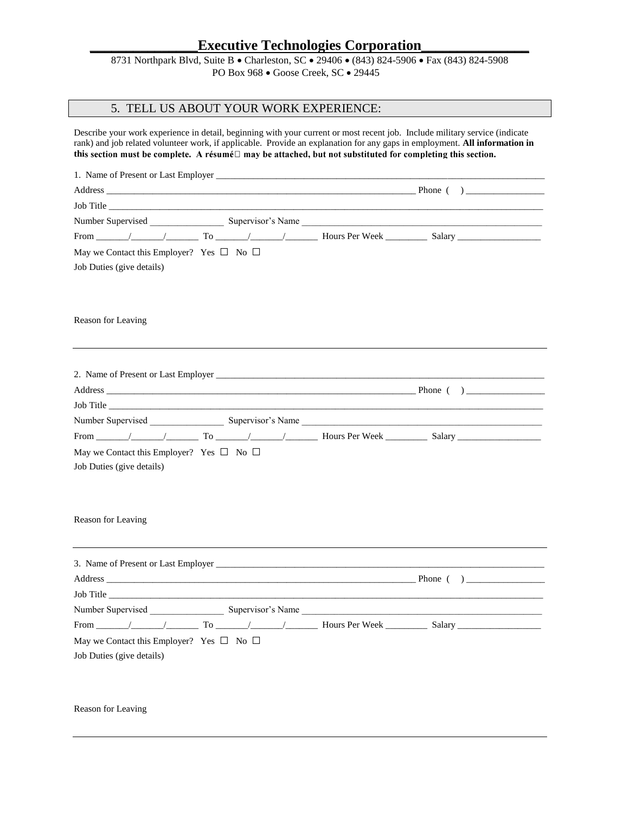8731 Northpark Blvd, Suite B • Charleston, SC • 29406 • (843) 824-5906 • Fax (843) 824-5908 PO Box 968 · Goose Creek, SC · 29445

#### 5. TELL US ABOUT YOUR WORK EXPERIENCE:

Describe your work experience in detail, beginning with your current or most recent job. Include military service (indicate rank) and job related volunteer work, if applicable. Provide an explanation for any gaps in employment. **All information in**  this section must be complete. A résumé<sup> $\Box$ </sup> may be attached, but not substituted for completing this section.

| Address Phone ( )                                                                     |  |  |  |
|---------------------------------------------------------------------------------------|--|--|--|
|                                                                                       |  |  |  |
|                                                                                       |  |  |  |
|                                                                                       |  |  |  |
| May we Contact this Employer? Yes $\square$ No $\square$                              |  |  |  |
| Job Duties (give details)                                                             |  |  |  |
|                                                                                       |  |  |  |
|                                                                                       |  |  |  |
| Reason for Leaving                                                                    |  |  |  |
|                                                                                       |  |  |  |
|                                                                                       |  |  |  |
|                                                                                       |  |  |  |
|                                                                                       |  |  |  |
|                                                                                       |  |  |  |
|                                                                                       |  |  |  |
| From $/$ $/$ To $/$ $/$ Hours Per Week Salary                                         |  |  |  |
|                                                                                       |  |  |  |
| May we Contact this Employer? Yes $\square$ No $\square$<br>Job Duties (give details) |  |  |  |
|                                                                                       |  |  |  |
|                                                                                       |  |  |  |
|                                                                                       |  |  |  |
| Reason for Leaving                                                                    |  |  |  |
|                                                                                       |  |  |  |
|                                                                                       |  |  |  |
|                                                                                       |  |  |  |
| Job Title                                                                             |  |  |  |
|                                                                                       |  |  |  |
|                                                                                       |  |  |  |
| May we Contact this Employer? Yes $\square$ No $\square$                              |  |  |  |
| Job Duties (give details)                                                             |  |  |  |
|                                                                                       |  |  |  |
|                                                                                       |  |  |  |
|                                                                                       |  |  |  |

Reason for Leaving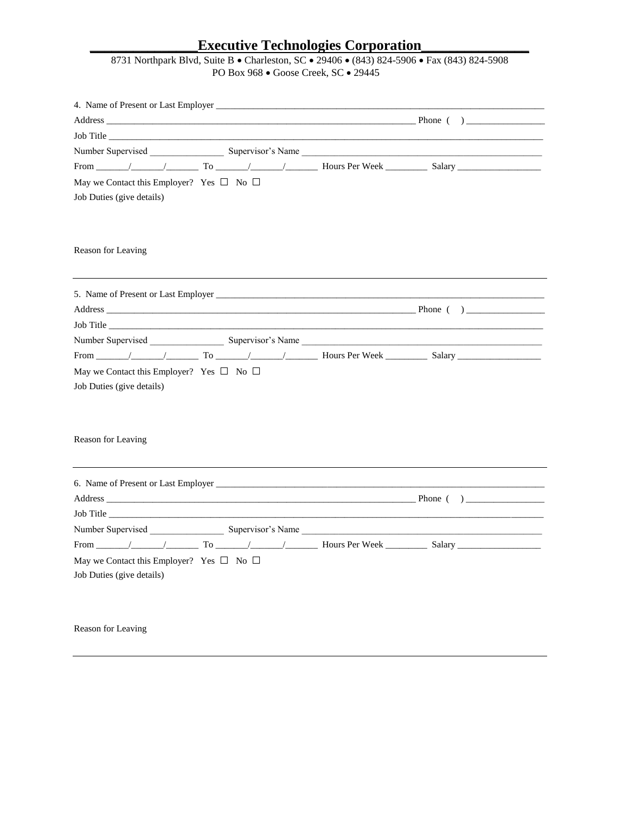# **\_\_\_\_\_\_\_\_\_\_\_\_\_\_\_Executive Technologies Corporation\_\_\_\_\_\_\_\_\_\_\_\_\_\_\_**

| 8731 Northpark Blvd, Suite B • Charleston, SC • 29406 • (843) 824-5906 • Fax (843) 824-5908 |
|---------------------------------------------------------------------------------------------|
| PO Box 968 $\bullet$ Goose Creek, SC $\bullet$ 29445                                        |

|                                                                                       |  | Number Supervised Supervisor's Name |
|---------------------------------------------------------------------------------------|--|-------------------------------------|
|                                                                                       |  |                                     |
| May we Contact this Employer? Yes $\Box$ No $\Box$                                    |  |                                     |
| Job Duties (give details)                                                             |  |                                     |
| Reason for Leaving                                                                    |  |                                     |
|                                                                                       |  |                                     |
|                                                                                       |  |                                     |
|                                                                                       |  | Job Title                           |
|                                                                                       |  |                                     |
|                                                                                       |  |                                     |
| May we Contact this Employer? Yes $\square$ No $\square$<br>Job Duties (give details) |  |                                     |
| Reason for Leaving                                                                    |  |                                     |
|                                                                                       |  |                                     |
|                                                                                       |  |                                     |
|                                                                                       |  |                                     |
|                                                                                       |  |                                     |
|                                                                                       |  |                                     |
| May we Contact this Employer? Yes $\square$ No $\square$                              |  |                                     |
| Job Duties (give details)                                                             |  |                                     |